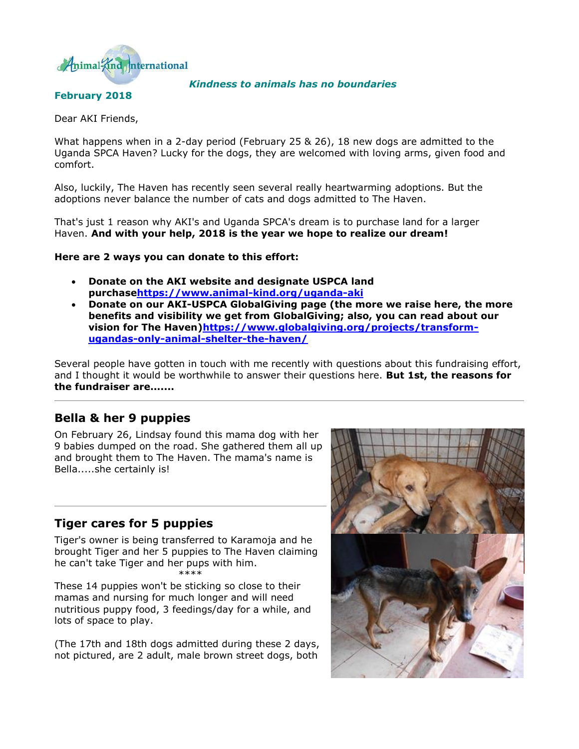

#### *Kindness to animals has no boundaries*

# **February 2018** Dear AKI Friends,

What happens when in a 2-day period (February 25 & 26), 18 new dogs are admitted to the Uganda SPCA Haven? Lucky for the dogs, they are welcomed with loving arms, given food and comfort.

Also, luckily, The Haven has recently seen several really heartwarming adoptions. But the adoptions never balance the number of cats and dogs admitted to The Haven.

That's just 1 reason why AKI's and Uganda SPCA's dream is to purchase land for a larger Haven. **And with your help, 2018 is the year we hope to realize our dream!**

#### **Here are 2 ways you can donate to this effort:**

- **Donate on the AKI website and designate USPCA land purchas[ehttps://www.animal-kind.org/uganda-aki](http://cts.vresp.com/c/?AnimalKindInternatio/d9f4b0ce84/4d75da415c/764978c0a5)**
- **Donate on our AKI-USPCA GlobalGiving page (the more we raise here, the more benefits and visibility we get from GlobalGiving; also, you can read about our vision for The Haven[\)https://www.globalgiving.org/projects/transform](http://cts.vresp.com/c/?AnimalKindInternatio/d9f4b0ce84/4d75da415c/8f8c4744b0)[ugandas-only-animal-shelter-the-haven/](http://cts.vresp.com/c/?AnimalKindInternatio/d9f4b0ce84/4d75da415c/8f8c4744b0)**

Several people have gotten in touch with me recently with questions about this fundraising effort, and I thought it would be worthwhile to answer their questions here. **But 1st, the reasons for the fundraiser are.......**

# **Bella & her 9 puppies**

On February 26, Lindsay found this mama dog with her 9 babies dumped on the road. She gathered them all up and brought them to The Haven. The mama's name is Bella.....she certainly is!

# **Tiger cares for 5 puppies**

Tiger's owner is being transferred to Karamoja and he brought Tiger and her 5 puppies to The Haven claiming he can't take Tiger and her pups with him. \*\*\*\*

These 14 puppies won't be sticking so close to their mamas and nursing for much longer and will need nutritious puppy food, 3 feedings/day for a while, and lots of space to play.

(The 17th and 18th dogs admitted during these 2 days, not pictured, are 2 adult, male brown street dogs, both

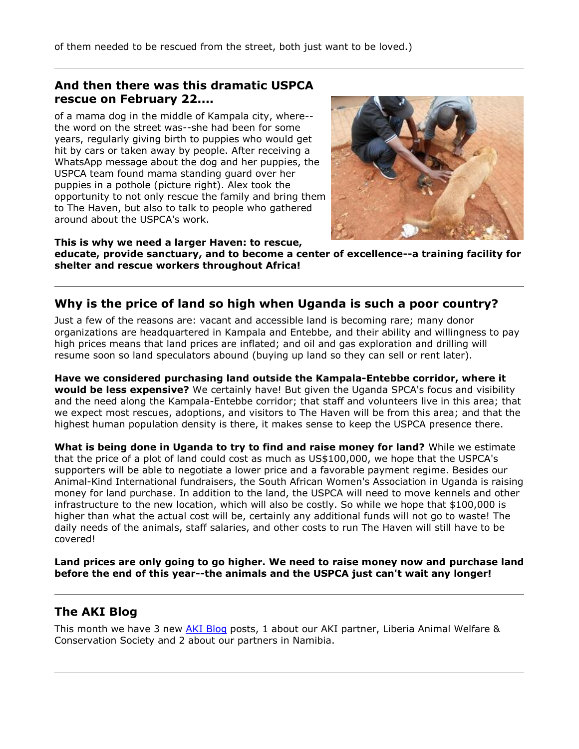# **And then there was this dramatic USPCA rescue on February 22....**

of a mama dog in the middle of Kampala city, where- the word on the street was--she had been for some years, regularly giving birth to puppies who would get hit by cars or taken away by people. After receiving a WhatsApp message about the dog and her puppies, the USPCA team found mama standing guard over her puppies in a pothole (picture right). Alex took the opportunity to not only rescue the family and bring them to The Haven, but also to talk to people who gathered around about the USPCA's work.



**This is why we need a larger Haven: to rescue, educate, provide sanctuary, and to become a center of excellence--a training facility for shelter and rescue workers throughout Africa!**

# **Why is the price of land so high when Uganda is such a poor country?**

Just a few of the reasons are: vacant and accessible land is becoming rare; many donor organizations are headquartered in Kampala and Entebbe, and their ability and willingness to pay high prices means that land prices are inflated; and oil and gas exploration and drilling will resume soon so land speculators abound (buying up land so they can sell or rent later).

**Have we considered purchasing land outside the Kampala-Entebbe corridor, where it would be less expensive?** We certainly have! But given the Uganda SPCA's focus and visibility and the need along the Kampala-Entebbe corridor; that staff and volunteers live in this area; that we expect most rescues, adoptions, and visitors to The Haven will be from this area; and that the highest human population density is there, it makes sense to keep the USPCA presence there.

**What is being done in Uganda to try to find and raise money for land?** While we estimate that the price of a plot of land could cost as much as US\$100,000, we hope that the USPCA's supporters will be able to negotiate a lower price and a favorable payment regime. Besides our Animal-Kind International fundraisers, the South African Women's Association in Uganda is raising money for land purchase. In addition to the land, the USPCA will need to move kennels and other infrastructure to the new location, which will also be costly. So while we hope that \$100,000 is higher than what the actual cost will be, certainly any additional funds will not go to waste! The daily needs of the animals, staff salaries, and other costs to run The Haven will still have to be covered!

**Land prices are only going to go higher. We need to raise money now and purchase land before the end of this year--the animals and the USPCA just can't wait any longer!**

# **The AKI Blog**

This month we have 3 new [AKI Blog](http://cts.vresp.com/c/?AnimalKindInternatio/d9f4b0ce84/4d75da415c/b81881a619) posts, 1 about our AKI partner, Liberia Animal Welfare & Conservation Society and 2 about our partners in Namibia.